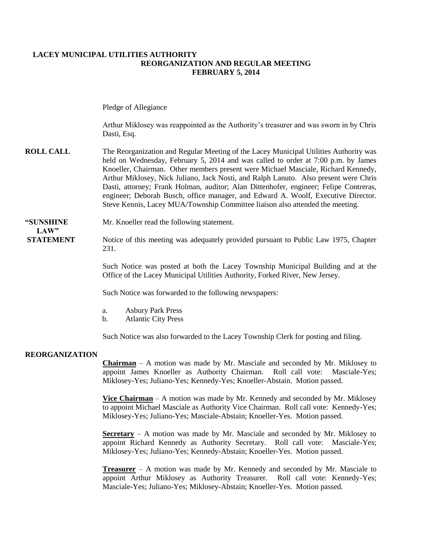#### **LACEY MUNICIPAL UTILITIES AUTHORITY REORGANIZATION AND REGULAR MEETING FEBRUARY 5, 2014**

Pledge of Allegiance

Arthur Miklosey was reappointed as the Authority's treasurer and was sworn in by Chris Dasti, Esq.

**ROLL CALL** The Reorganization and Regular Meeting of the Lacey Municipal Utilities Authority was held on Wednesday, February 5, 2014 and was called to order at 7:00 p.m. by James Knoeller, Chairman. Other members present were Michael Masciale, Richard Kennedy, Arthur Miklosey, Nick Juliano, Jack Nosti, and Ralph Lanuto. Also present were Chris Dasti, attorney; Frank Holman, auditor; Alan Dittenhofer, engineer; Felipe Contreras, engineer; Deborah Busch, office manager, and Edward A. Woolf, Executive Director. Steve Kennis, Lacey MUA/Township Committee liaison also attended the meeting.

# **LAW"**

**"SUNSHINE** Mr. Knoeller read the following statement.

**STATEMENT** Notice of this meeting was adequately provided pursuant to Public Law 1975, Chapter 231.

> Such Notice was posted at both the Lacey Township Municipal Building and at the Office of the Lacey Municipal Utilities Authority, Forked River, New Jersey.

Such Notice was forwarded to the following newspapers:

- a. Asbury Park Press
- b. Atlantic City Press

Such Notice was also forwarded to the Lacey Township Clerk for posting and filing.

### **REORGANIZATION**

**Chairman** – A motion was made by Mr. Masciale and seconded by Mr. Miklosey to appoint James Knoeller as Authority Chairman. Roll call vote: Masciale-Yes; Miklosey-Yes; Juliano-Yes; Kennedy-Yes; Knoeller-Abstain. Motion passed.

**Vice Chairman** – A motion was made by Mr. Kennedy and seconded by Mr. Miklosey to appoint Michael Masciale as Authority Vice Chairman. Roll call vote: Kennedy-Yes; Miklosey-Yes; Juliano-Yes; Masciale-Abstain; Knoeller-Yes. Motion passed.

**Secretary** – A motion was made by Mr. Masciale and seconded by Mr. Miklosey to appoint Richard Kennedy as Authority Secretary. Roll call vote: Masciale-Yes; Miklosey-Yes; Juliano-Yes; Kennedy-Abstain; Knoeller-Yes. Motion passed.

**Treasurer** – A motion was made by Mr. Kennedy and seconded by Mr. Masciale to appoint Arthur Miklosey as Authority Treasurer. Roll call vote: Kennedy-Yes; Masciale-Yes; Juliano-Yes; Miklosey-Abstain; Knoeller-Yes. Motion passed.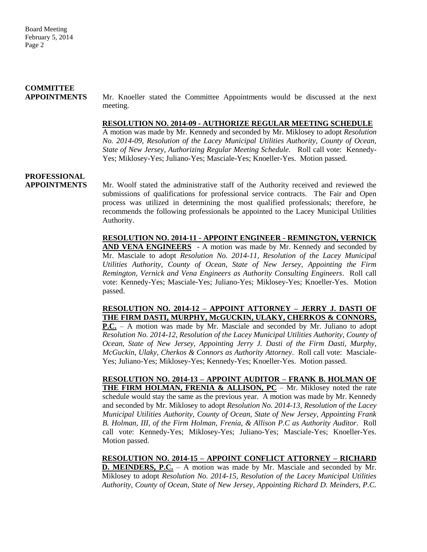## **COMMITTEE**

**APPOINTMENTS**Mr. Knoeller stated the Committee Appointments would be discussed at the next meeting.

#### **RESOLUTION NO. 2014-09 - AUTHORIZE REGULAR MEETING SCHEDULE**

A motion was made by Mr. Kennedy and seconded by Mr. Miklosey to adopt *Resolution No. 2014-09, Resolution of the Lacey Municipal Utilities Authority, County of Ocean, State of New Jersey*, *Authorizing Regular Meeting Schedule.* Roll call vote: Kennedy-Yes; Miklosey-Yes; Juliano-Yes; Masciale-Yes; Knoeller-Yes. Motion passed.

### **PROFESSIONAL**

**APPOINTMENTS** Mr. Woolf stated the administrative staff of the Authority received and reviewed the submissions of qualifications for professional service contracts. The Fair and Open process was utilized in determining the most qualified professionals; therefore, he recommends the following professionals be appointed to the Lacey Municipal Utilities Authority.

> **RESOLUTION NO. 2014-11 - APPOINT ENGINEER - REMINGTON, VERNICK AND VENA ENGINEERS** - A motion was made by Mr. Kennedy and seconded by Mr. Masciale to adopt *Resolution No. 2014-11, Resolution of the Lacey Municipal Utilities Authority, County of Ocean, State of New Jersey, Appointing the Firm Remington, Vernick and Vena Engineers as Authority Consulting Engineers*. Roll call vote: Kennedy-Yes; Masciale-Yes; Juliano-Yes; Miklosey-Yes; Knoeller-Yes. Motion passed.

> **RESOLUTION NO. 2014-12 – APPOINT ATTORNEY – JERRY J. DASTI OF THE FIRM DASTI, MURPHY, McGUCKIN, ULAKY, CHERKOS & CONNORS,**

> **P.C.** – A motion was made by Mr. Masciale and seconded by Mr. Juliano to adopt *Resolution No. 2014-12, Resolution of the Lacey Municipal Utilities Authority, County of Ocean, State of New Jersey, Appointing Jerry J. Dasti of the Firm Dasti, Murphy*, *McGuckin, Ulaky, Cherkos & Connors as Authority Attorney*. Roll call vote: Masciale-Yes; Juliano-Yes; Miklosey-Yes; Kennedy-Yes; Knoeller-Yes. Motion passed.

> **RESOLUTION NO. 2014-13 – APPOINT AUDITOR – FRANK B. HOLMAN OF THE FIRM HOLMAN, FRENIA & ALLISON, PC** – Mr. Miklosey noted the rate schedule would stay the same as the previous year. A motion was made by Mr. Kennedy and seconded by Mr. Miklosey to adopt *Resolution No. 2014-13, Resolution of the Lacey Municipal Utilities Authority, County of Ocean, State of New Jersey, Appointing Frank B. Holman, III, of the Firm Holman, Frenia, & Allison P.C as Authority Auditor*. Roll call vote: Kennedy-Yes; Miklosey-Yes; Juliano-Yes; Masciale-Yes; Knoeller-Yes. Motion passed.

> **RESOLUTION NO. 2014-15 – APPOINT CONFLICT ATTORNEY – RICHARD D. MEINDERS, P.C.** – A motion was made by Mr. Masciale and seconded by Mr. Miklosey to adopt *Resolution No. 2014-15, Resolution of the Lacey Municipal Utilities Authority, County of Ocean, State of New Jersey*, *Appointing Richard D. Meinders, P.C.*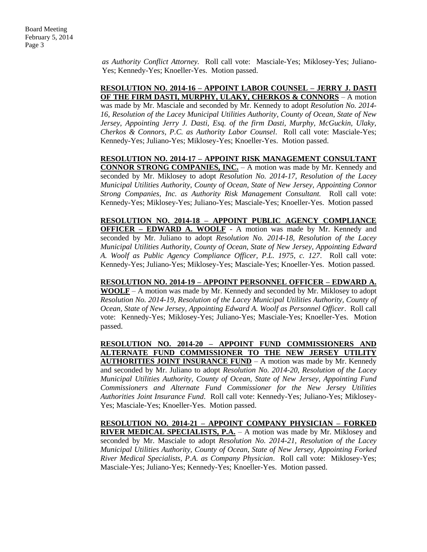*as Authority Conflict Attorney.* Roll call vote: Masciale-Yes; Miklosey-Yes; Juliano-Yes; Kennedy-Yes; Knoeller-Yes. Motion passed.

**RESOLUTION NO. 2014-16 – APPOINT LABOR COUNSEL – JERRY J. DASTI OF THE FIRM DASTI, MURPHY, ULAKY, CHERKOS & CONNORS** – A motion was made by Mr. Masciale and seconded by Mr. Kennedy to adopt *Resolution No. 2014- 16, Resolution of the Lacey Municipal Utilities Authority, County of Ocean, State of New Jersey, Appointing Jerry J. Dasti, Esq. of the firm Dasti, Murphy, McGuckin, Ulaky, Cherkos & Connors, P.C. as Authority Labor Counsel*. Roll call vote: Masciale-Yes; Kennedy-Yes; Juliano-Yes; Miklosey-Yes; Knoeller-Yes. Motion passed.

**RESOLUTION NO. 2014-17 – APPOINT RISK MANAGEMENT CONSULTANT CONNOR STRONG COMPANIES, INC.** – A motion was made by Mr. Kennedy and seconded by Mr. Miklosey to adopt *Resolution No. 2014-17, Resolution of the Lacey Municipal Utilities Authority, County of Ocean, State of New Jersey, Appointing Connor Strong Companies, Inc. as Authority Risk Management Consultant.* Roll call vote: Kennedy-Yes; Miklosey-Yes; Juliano-Yes; Masciale-Yes; Knoeller-Yes. Motion passed

**RESOLUTION NO. 2014-18 – APPOINT PUBLIC AGENCY COMPLIANCE OFFICER – EDWARD A. WOOLF** - A motion was made by Mr. Kennedy and seconded by Mr. Juliano to adopt *Resolution No. 2014-18, Resolution of the Lacey Municipal Utilities Authority, County of Ocean, State of New Jersey, Appointing Edward A. Woolf as Public Agency Compliance Officer, P.L. 1975, c. 127*. Roll call vote: Kennedy-Yes; Juliano-Yes; Miklosey-Yes; Masciale-Yes; Knoeller-Yes. Motion passed.

**RESOLUTION NO. 2014-19 – APPOINT PERSONNEL OFFICER – EDWARD A. WOOLF** – A motion was made by Mr. Kennedy and seconded by Mr. Miklosey to adopt *Resolution No. 2014-19, Resolution of the Lacey Municipal Utilities Authority, County of Ocean, State of New Jersey, Appointing Edward A. Woolf as Personnel Officer*. Roll call vote: Kennedy-Yes; Miklosey-Yes; Juliano-Yes; Masciale-Yes; Knoeller-Yes. Motion passed.

**RESOLUTION NO. 2014-20 – APPOINT FUND COMMISSIONERS AND ALTERNATE FUND COMMISSIONER TO THE NEW JERSEY UTILITY AUTHORITIES JOINT INSURANCE FUND** – A motion was made by Mr. Kennedy and seconded by Mr. Juliano to adopt *Resolution No. 2014-20, Resolution of the Lacey Municipal Utilities Authority, County of Ocean, State of New Jersey, Appointing Fund Commissioners and Alternate Fund Commissioner for the New Jersey Utilities Authorities Joint Insurance Fund*. Roll call vote: Kennedy-Yes; Juliano-Yes; Miklosey-Yes; Masciale-Yes; Knoeller-Yes. Motion passed.

**RESOLUTION NO. 2014-21 – APPOINT COMPANY PHYSICIAN – FORKED RIVER MEDICAL SPECIALISTS, P.A.** – A motion was made by Mr. Miklosey and seconded by Mr. Masciale to adopt *Resolution No. 2014-21, Resolution of the Lacey Municipal Utilities Authority, County of Ocean, State of New Jersey, Appointing Forked River Medical Specialists, P.A. as Company Physician*. Roll call vote: Miklosey-Yes; Masciale-Yes; Juliano-Yes; Kennedy-Yes; Knoeller-Yes. Motion passed.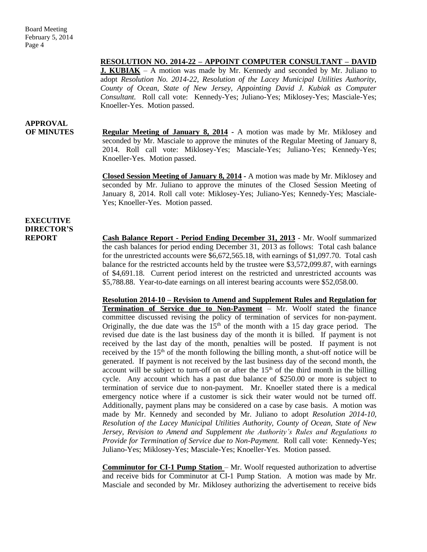### **RESOLUTION NO. 2014-22 – APPOINT COMPUTER CONSULTANT – DAVID**

**J. KUBIAK** – A motion was made by Mr. Kennedy and seconded by Mr. Juliano to adopt *Resolution No. 2014-22, Resolution of the Lacey Municipal Utilities Authority, County of Ocean, State of New Jersey, Appointing David J. Kubiak as Computer Consultant.* Roll call vote: Kennedy-Yes; Juliano-Yes; Miklosey-Yes; Masciale-Yes; Knoeller-Yes. Motion passed.

## **APPROVAL**

**OF MINUTES Regular Meeting of January 8, 2014 -** A motion was made by Mr. Miklosey and seconded by Mr. Masciale to approve the minutes of the Regular Meeting of January 8, 2014. Roll call vote: Miklosey-Yes; Masciale-Yes; Juliano-Yes; Kennedy-Yes; Knoeller-Yes. Motion passed.

> **Closed Session Meeting of January 8, 2014 -** A motion was made by Mr. Miklosey and seconded by Mr. Juliano to approve the minutes of the Closed Session Meeting of January 8, 2014. Roll call vote: Miklosey-Yes; Juliano-Yes; Kennedy-Yes; Masciale-Yes; Knoeller-Yes. Motion passed.

### **EXECUTIVE DIRECTOR'S**

**REPORT Cash Balance Report - Period Ending December 31, 2013** - Mr. Woolf summarized the cash balances for period ending December 31, 2013 as follows: Total cash balance for the unrestricted accounts were \$6,672,565.18, with earnings of \$1,097.70. Total cash balance for the restricted accounts held by the trustee were \$3,572,099.87, with earnings of \$4,691.18. Current period interest on the restricted and unrestricted accounts was \$5,788.88. Year-to-date earnings on all interest bearing accounts were \$52,058.00.

> **Resolution 2014-10 – Revision to Amend and Supplement Rules and Regulation for Termination of Service due to Non-Payment** – Mr. Woolf stated the finance committee discussed revising the policy of termination of services for non-payment. Originally, the due date was the  $15<sup>th</sup>$  of the month with a 15 day grace period. The revised due date is the last business day of the month it is billed. If payment is not received by the last day of the month, penalties will be posted. If payment is not received by the  $15<sup>th</sup>$  of the month following the billing month, a shut-off notice will be generated. If payment is not received by the last business day of the second month, the account will be subject to turn-off on or after the  $15<sup>th</sup>$  of the third month in the billing cycle. Any account which has a past due balance of \$250.00 or more is subject to termination of service due to non-payment. Mr. Knoeller stated there is a medical emergency notice where if a customer is sick their water would not be turned off. Additionally, payment plans may be considered on a case by case basis. A motion was made by Mr. Kennedy and seconded by Mr. Juliano to adopt *Resolution 2014-10, Resolution of the Lacey Municipal Utilities Authority, County of Ocean, State of New Jersey, Revision to Amend and Supplement the Authority's Rules and Regulations to Provide for Termination of Service due to Non-Payment.* Roll call vote: Kennedy-Yes; Juliano-Yes; Miklosey-Yes; Masciale-Yes; Knoeller-Yes. Motion passed.

> **Comminutor for CI-1 Pump Station** – Mr. Woolf requested authorization to advertise and receive bids for Comminutor at CI-1 Pump Station. A motion was made by Mr. Masciale and seconded by Mr. Miklosey authorizing the advertisement to receive bids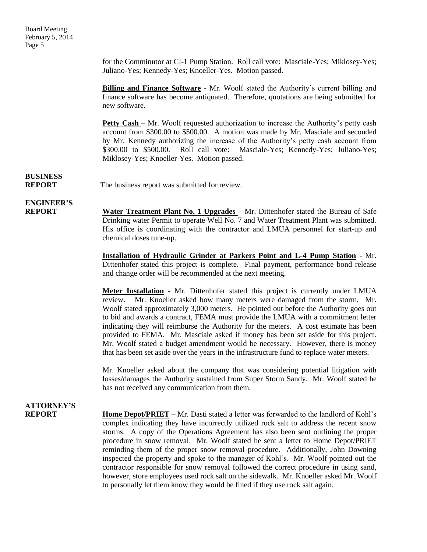Board Meeting February 5, 2014 Page 5

> for the Comminutor at CI-1 Pump Station. Roll call vote: Masciale-Yes; Miklosey-Yes; Juliano-Yes; Kennedy-Yes; Knoeller-Yes. Motion passed.

> **Billing and Finance Software** - Mr. Woolf stated the Authority's current billing and finance software has become antiquated. Therefore, quotations are being submitted for new software.

> **Petty Cash** – Mr. Woolf requested authorization to increase the Authority's petty cash account from \$300.00 to \$500.00. A motion was made by Mr. Masciale and seconded by Mr. Kennedy authorizing the increase of the Authority's petty cash account from \$300.00 to \$500.00. Roll call vote: Masciale-Yes; Kennedy-Yes; Juliano-Yes; Miklosey-Yes; Knoeller-Yes. Motion passed.

**BUSINESS**

**REPORT** The business report was submitted for review.

## **ENGINEER'S**

**REPORT Water Treatment Plant No. 1 Upgrades** – Mr. Dittenhofer stated the Bureau of Safe Drinking water Permit to operate Well No. 7 and Water Treatment Plant was submitted. His office is coordinating with the contractor and LMUA personnel for start-up and chemical doses tune-up.

> **Installation of Hydraulic Grinder at Parkers Point and L-4 Pump Station** - Mr. Dittenhofer stated this project is complete. Final payment, performance bond release and change order will be recommended at the next meeting.

> **Meter Installation** - Mr. Dittenhofer stated this project is currently under LMUA review. Mr. Knoeller asked how many meters were damaged from the storm. Mr. Woolf stated approximately 3,000 meters. He pointed out before the Authority goes out to bid and awards a contract, FEMA must provide the LMUA with a commitment letter indicating they will reimburse the Authority for the meters. A cost estimate has been provided to FEMA. Mr. Masciale asked if money has been set aside for this project. Mr. Woolf stated a budget amendment would be necessary. However, there is money that has been set aside over the years in the infrastructure fund to replace water meters.

> Mr. Knoeller asked about the company that was considering potential litigation with losses/damages the Authority sustained from Super Storm Sandy. Mr. Woolf stated he has not received any communication from them.

## **ATTORNEY'S**

**REPORT Home Depot/PRIET** – Mr. Dasti stated a letter was forwarded to the landlord of Kohl's complex indicating they have incorrectly utilized rock salt to address the recent snow storms. A copy of the Operations Agreement has also been sent outlining the proper procedure in snow removal. Mr. Woolf stated he sent a letter to Home Depot/PRIET reminding them of the proper snow removal procedure. Additionally, John Downing inspected the property and spoke to the manager of Kohl's. Mr. Woolf pointed out the contractor responsible for snow removal followed the correct procedure in using sand, however, store employees used rock salt on the sidewalk. Mr. Knoeller asked Mr. Woolf to personally let them know they would be fined if they use rock salt again.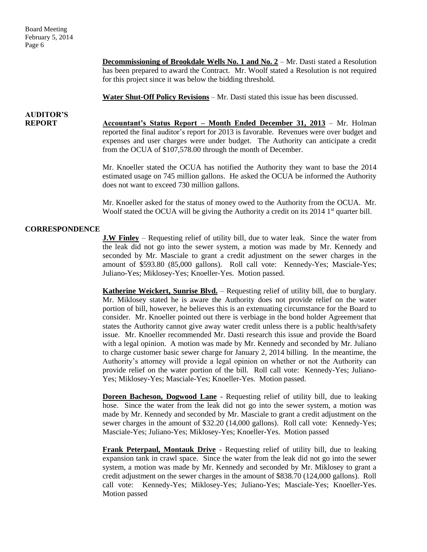Board Meeting February 5, 2014 Page 6

> **Decommissioning of Brookdale Wells No. 1 and No. 2** – Mr. Dasti stated a Resolution has been prepared to award the Contract. Mr. Woolf stated a Resolution is not required for this project since it was below the bidding threshold.

**Water Shut-Off Policy Revisions** – Mr. Dasti stated this issue has been discussed.

## **AUDITOR'S**

**REPORT Accountant's Status Report – Month Ended December 31, 2013** – Mr. Holman reported the final auditor's report for 2013 is favorable. Revenues were over budget and expenses and user charges were under budget. The Authority can anticipate a credit from the OCUA of \$107,578.00 through the month of December.

> Mr. Knoeller stated the OCUA has notified the Authority they want to base the 2014 estimated usage on 745 million gallons. He asked the OCUA be informed the Authority does not want to exceed 730 million gallons.

> Mr. Knoeller asked for the status of money owed to the Authority from the OCUA. Mr. Woolf stated the OCUA will be giving the Authority a credit on its  $2014$  1<sup>st</sup> quarter bill.

### **CORRESPONDENCE**

**J.W Finley** – Requesting relief of utility bill, due to water leak. Since the water from the leak did not go into the sewer system, a motion was made by Mr. Kennedy and seconded by Mr. Masciale to grant a credit adjustment on the sewer charges in the amount of \$593.80 (85,000 gallons). Roll call vote: Kennedy-Yes; Masciale-Yes; Juliano-Yes; Miklosey-Yes; Knoeller-Yes. Motion passed.

**Katherine Weickert, Sunrise Blvd.** – Requesting relief of utility bill, due to burglary. Mr. Miklosey stated he is aware the Authority does not provide relief on the water portion of bill, however, he believes this is an extenuating circumstance for the Board to consider. Mr. Knoeller pointed out there is verbiage in the bond holder Agreement that states the Authority cannot give away water credit unless there is a public health/safety issue. Mr. Knoeller recommended Mr. Dasti research this issue and provide the Board with a legal opinion. A motion was made by Mr. Kennedy and seconded by Mr. Juliano to charge customer basic sewer charge for January 2, 2014 billing. In the meantime, the Authority's attorney will provide a legal opinion on whether or not the Authority can provide relief on the water portion of the bill. Roll call vote: Kennedy-Yes; Juliano-Yes; Miklosey-Yes; Masciale-Yes; Knoeller-Yes. Motion passed.

**Doreen Bacheson, Dogwood Lane** - Requesting relief of utility bill, due to leaking hose. Since the water from the leak did not go into the sewer system, a motion was made by Mr. Kennedy and seconded by Mr. Masciale to grant a credit adjustment on the sewer charges in the amount of \$32.20 (14,000 gallons). Roll call vote: Kennedy-Yes; Masciale-Yes; Juliano-Yes; Miklosey-Yes; Knoeller-Yes. Motion passed

**Frank Peterpaul, Montauk Drive** - Requesting relief of utility bill, due to leaking expansion tank in crawl space. Since the water from the leak did not go into the sewer system, a motion was made by Mr. Kennedy and seconded by Mr. Miklosey to grant a credit adjustment on the sewer charges in the amount of \$838.70 (124,000 gallons). Roll call vote: Kennedy-Yes; Miklosey-Yes; Juliano-Yes; Masciale-Yes; Knoeller-Yes. Motion passed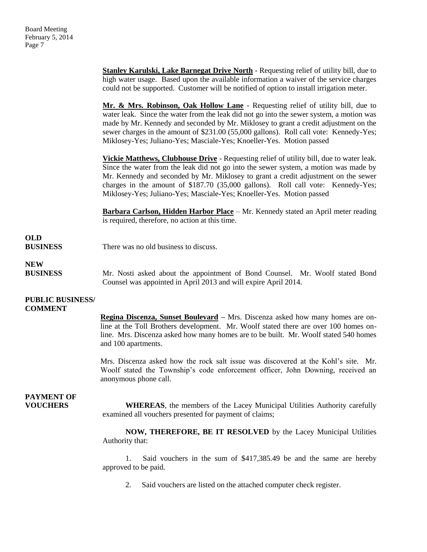**Stanley Karulski, Lake Barnegat Drive North** - Requesting relief of utility bill, due to high water usage. Based upon the available information a waiver of the service charges could not be supported. Customer will be notified of option to install irrigation meter.

**Mr. & Mrs. Robinson, Oak Hollow Lane** - Requesting relief of utility bill, due to water leak. Since the water from the leak did not go into the sewer system, a motion was made by Mr. Kennedy and seconded by Mr. Miklosey to grant a credit adjustment on the sewer charges in the amount of \$231.00 (55,000 gallons). Roll call vote: Kennedy-Yes; Miklosey-Yes; Juliano-Yes; Masciale-Yes; Knoeller-Yes. Motion passed

**Vickie Matthews, Clubhouse Drive** - Requesting relief of utility bill, due to water leak. Since the water from the leak did not go into the sewer system, a motion was made by Mr. Kennedy and seconded by Mr. Miklosey to grant a credit adjustment on the sewer charges in the amount of \$187.70 (35,000 gallons). Roll call vote: Kennedy-Yes; Miklosey-Yes; Juliano-Yes; Masciale-Yes; Knoeller-Yes. Motion passed

**Barbara Carlson, Hidden Harbor Place** – Mr. Kennedy stated an April meter reading is required, therefore, no action at this time.

### **OLD BUSINESS** There was no old business to discuss.

**NEW**

**BUSINESS** Mr. Nosti asked about the appointment of Bond Counsel. Mr. Woolf stated Bond Counsel was appointed in April 2013 and will expire April 2014.

### **PUBLIC BUSINESS/ COMMENT**

**Regina Discenza, Sunset Boulevard –** Mrs. Discenza asked how many homes are online at the Toll Brothers development. Mr. Woolf stated there are over 100 homes online. Mrs. Discenza asked how many homes are to be built. Mr. Woolf stated 540 homes and 100 apartments.

Mrs. Discenza asked how the rock salt issue was discovered at the Kohl's site. Mr. Woolf stated the Township's code enforcement officer, John Downing, received an anonymous phone call.

## **PAYMENT OF**

**VOUCHERS WHEREAS**, the members of the Lacey Municipal Utilities Authority carefully examined all vouchers presented for payment of claims;

> **NOW, THEREFORE, BE IT RESOLVED** by the Lacey Municipal Utilities Authority that:

> 1. Said vouchers in the sum of \$417,385.49 be and the same are hereby approved to be paid.

2. Said vouchers are listed on the attached computer check register.